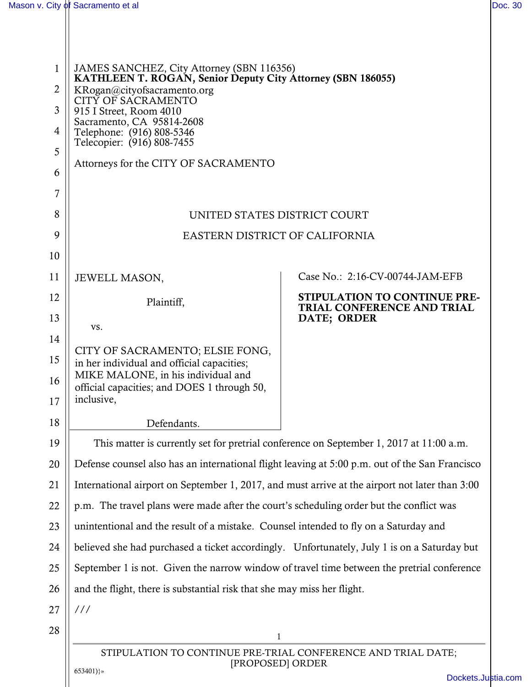| 1              | JAMES SANCHEZ, City Attorney (SBN 116356)                                                                                                    |                                                            |  |
|----------------|----------------------------------------------------------------------------------------------------------------------------------------------|------------------------------------------------------------|--|
| $\overline{2}$ | KATHLEEN T. ROGAN, Senior Deputy City Attorney (SBN 186055)<br>KRogan@cityofsacramento.org                                                   |                                                            |  |
| 3              | <b>CITY OF SACRAMENTO</b><br>915 I Street, Room 4010<br>Sacramento, CA 95814-2608<br>Telephone: (916) 808-5346<br>Telecopier: (916) 808-7455 |                                                            |  |
| 4              |                                                                                                                                              |                                                            |  |
| 5              |                                                                                                                                              |                                                            |  |
| 6              | Attorneys for the CITY OF SACRAMENTO                                                                                                         |                                                            |  |
| 7              |                                                                                                                                              |                                                            |  |
| 8              | UNITED STATES DISTRICT COURT                                                                                                                 |                                                            |  |
| 9              | EASTERN DISTRICT OF CALIFORNIA                                                                                                               |                                                            |  |
| 10             |                                                                                                                                              |                                                            |  |
| 11             | JEWELL MASON,                                                                                                                                | Case No.: 2:16-CV-00744-JAM-EFB                            |  |
| 12             | Plaintiff,                                                                                                                                   | STIPULATION TO CONTINUE PRE-<br>TRIAL CONFERENCE AND TRIAL |  |
| 13             | VS.                                                                                                                                          | DATE; ORDER                                                |  |
| 14             |                                                                                                                                              |                                                            |  |
| 15             | CITY OF SACRAMENTO; ELSIE FONG,<br>in her individual and official capacities;                                                                |                                                            |  |
| 16             | MIKE MALONE, in his individual and<br>official capacities; and DOES 1 through 50,                                                            |                                                            |  |
| 17             | inclusive,                                                                                                                                   |                                                            |  |
| 18             | Defendants.                                                                                                                                  |                                                            |  |
| 19             | This matter is currently set for pretrial conference on September 1, 2017 at 11:00 a.m.                                                      |                                                            |  |
| 20             | Defense counsel also has an international flight leaving at 5:00 p.m. out of the San Francisco                                               |                                                            |  |
| 21             | International airport on September 1, 2017, and must arrive at the airport not later than 3:00                                               |                                                            |  |
| 22             | p.m. The travel plans were made after the court's scheduling order but the conflict was                                                      |                                                            |  |
| 23             | unintentional and the result of a mistake. Counsel intended to fly on a Saturday and                                                         |                                                            |  |
| 24             | believed she had purchased a ticket accordingly. Unfortunately, July 1 is on a Saturday but                                                  |                                                            |  |
| 25             | September 1 is not. Given the narrow window of travel time between the pretrial conference                                                   |                                                            |  |
| 26             | and the flight, there is substantial risk that she may miss her flight.                                                                      |                                                            |  |
| 27             | 111                                                                                                                                          |                                                            |  |
| 28             | $\mathbf{1}$                                                                                                                                 |                                                            |  |
|                | STIPULATION TO CONTINUE PRE-TRIAL CONFERENCE AND TRIAL DATE;<br>[PROPOSED] ORDER                                                             |                                                            |  |
|                | $653401$ )}»                                                                                                                                 | Dockets.Jus                                                |  |